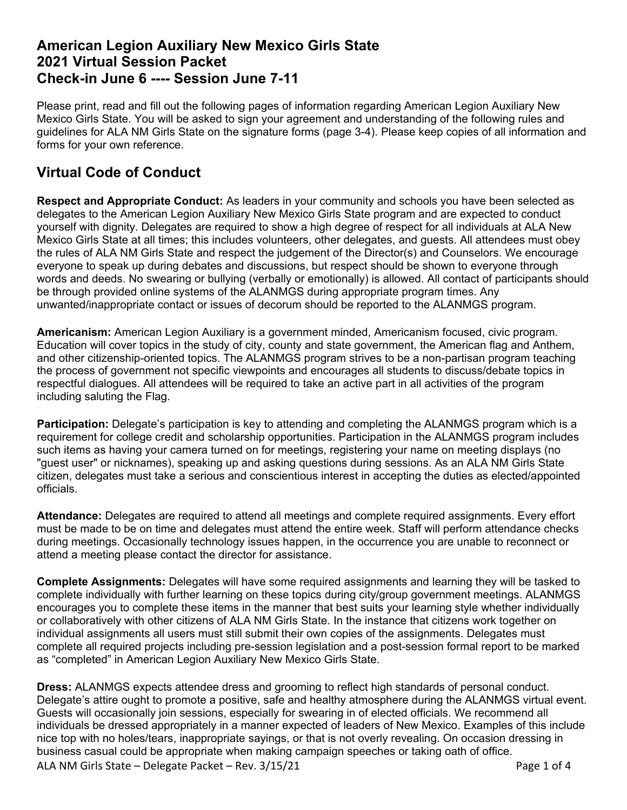# **American Legion Auxiliary New Mexico Girls State 2021 Virtual Session Packet Check-in June 6 ---- Session June 7-11**

Please print, read and fill out the following pages of information regarding American Legion Auxiliary New Mexico Girls State. You will be asked to sign your agreement and understanding of the following rules and guidelines for ALA NM Girls State on the signature forms (page 3-4). Please keep copies of all information and forms for your own reference.

# **Virtual Code of Conduct**

**Respect and Appropriate Conduct:** As leaders in your community and schools you have been selected as delegates to the American Legion Auxiliary New Mexico Girls State program and are expected to conduct yourself with dignity. Delegates are required to show a high degree of respect for all individuals at ALA New Mexico Girls State at all times; this includes volunteers, other delegates, and guests. All attendees must obey the rules of ALA NM Girls State and respect the judgement of the Director(s) and Counselors. We encourage everyone to speak up during debates and discussions, but respect should be shown to everyone through words and deeds. No swearing or bullying (verbally or emotionally) is allowed. All contact of participants should be through provided online systems of the ALANMGS during appropriate program times. Any unwanted/inappropriate contact or issues of decorum should be reported to the ALANMGS program.

**Americanism:** American Legion Auxiliary is a government minded, Americanism focused, civic program. Education will cover topics in the study of city, county and state government, the American flag and Anthem, and other citizenship-oriented topics. The ALANMGS program strives to be a non-partisan program teaching the process of government not specific viewpoints and encourages all students to discuss/debate topics in respectful dialogues. All attendees will be required to take an active part in all activities of the program including saluting the Flag.

**Participation:** Delegate's participation is key to attending and completing the ALANMGS program which is a requirement for college credit and scholarship opportunities. Participation in the ALANMGS program includes such items as having your camera turned on for meetings, registering your name on meeting displays (no "guest user" or nicknames), speaking up and asking questions during sessions. As an ALA NM Girls State citizen, delegates must take a serious and conscientious interest in accepting the duties as elected/appointed officials.

**Attendance:** Delegates are required to attend all meetings and complete required assignments. Every effort must be made to be on time and delegates must attend the entire week. Staff will perform attendance checks during meetings. Occasionally technology issues happen, in the occurrence you are unable to reconnect or attend a meeting please contact the director for assistance.

**Complete Assignments:** Delegates will have some required assignments and learning they will be tasked to complete individually with further learning on these topics during city/group government meetings. ALANMGS encourages you to complete these items in the manner that best suits your learning style whether individually or collaboratively with other citizens of ALA NM Girls State. In the instance that citizens work together on individual assignments all users must still submit their own copies of the assignments. Delegates must complete all required projects including pre-session legislation and a post-session formal report to be marked as "completed" in American Legion Auxiliary New Mexico Girls State.

ALA NM Girls State – Delegate Packet – Rev. 3/15/21 Page 1 of 4 **Dress:** ALANMGS expects attendee dress and grooming to reflect high standards of personal conduct. Delegate's attire ought to promote a positive, safe and healthy atmosphere during the ALANMGS virtual event. Guests will occasionally join sessions, especially for swearing in of elected officials. We recommend all individuals be dressed appropriately in a manner expected of leaders of New Mexico. Examples of this include nice top with no holes/tears, inappropriate sayings, or that is not overly revealing. On occasion dressing in business casual could be appropriate when making campaign speeches or taking oath of office.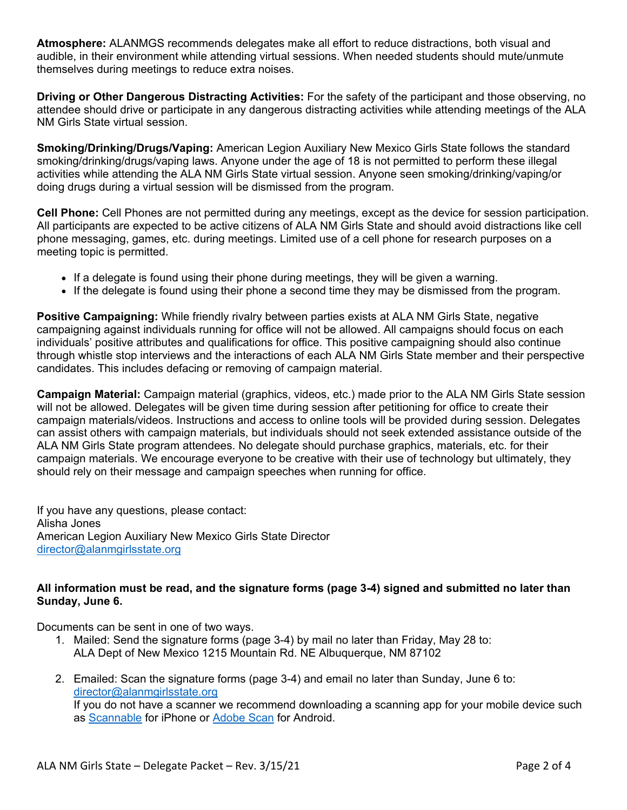**Atmosphere:** ALANMGS recommends delegates make all effort to reduce distractions, both visual and audible, in their environment while attending virtual sessions. When needed students should mute/unmute themselves during meetings to reduce extra noises.

**Driving or Other Dangerous Distracting Activities:** For the safety of the participant and those observing, no attendee should drive or participate in any dangerous distracting activities while attending meetings of the ALA NM Girls State virtual session.

**Smoking/Drinking/Drugs/Vaping:** American Legion Auxiliary New Mexico Girls State follows the standard smoking/drinking/drugs/vaping laws. Anyone under the age of 18 is not permitted to perform these illegal activities while attending the ALA NM Girls State virtual session. Anyone seen smoking/drinking/vaping/or doing drugs during a virtual session will be dismissed from the program.

**Cell Phone:** Cell Phones are not permitted during any meetings, except as the device for session participation. All participants are expected to be active citizens of ALA NM Girls State and should avoid distractions like cell phone messaging, games, etc. during meetings. Limited use of a cell phone for research purposes on a meeting topic is permitted.

- If a delegate is found using their phone during meetings, they will be given a warning.
- If the delegate is found using their phone a second time they may be dismissed from the program.

**Positive Campaigning:** While friendly rivalry between parties exists at ALA NM Girls State, negative campaigning against individuals running for office will not be allowed. All campaigns should focus on each individuals' positive attributes and qualifications for office. This positive campaigning should also continue through whistle stop interviews and the interactions of each ALA NM Girls State member and their perspective candidates. This includes defacing or removing of campaign material.

**Campaign Material:** Campaign material (graphics, videos, etc.) made prior to the ALA NM Girls State session will not be allowed. Delegates will be given time during session after petitioning for office to create their campaign materials/videos. Instructions and access to online tools will be provided during session. Delegates can assist others with campaign materials, but individuals should not seek extended assistance outside of the ALA NM Girls State program attendees. No delegate should purchase graphics, materials, etc. for their campaign materials. We encourage everyone to be creative with their use of technology but ultimately, they should rely on their message and campaign speeches when running for office.

If you have any questions, please contact: Alisha Jones American Legion Auxiliary New Mexico Girls State Director [director@alanmgirlsstate.org](mailto:director@alanmgirlsstate.org)

## **All information must be read, and the signature forms (page 3-4) signed and submitted no later than Sunday, June 6.**

Documents can be sent in one of two ways.

- 1. Mailed: Send the signature forms (page 3-4) by mail no later than Friday, May 28 to: ALA Dept of New Mexico 1215 Mountain Rd. NE Albuquerque, NM 87102
- 2. Emailed: Scan the signature forms (page 3-4) and email no later than Sunday, June 6 to: [director@alanmgirlsstate.org](mailto:director@alanmgirlsstate.org) If you do not have a scanner we recommend downloading a scanning app for your mobile device such as [Scannable](https://apps.apple.com/us/app/evernote-scannable/id883338188) for iPhone or [Adobe Scan](https://play.google.com/store/apps/details?id=com.adobe.scan.android) for Android.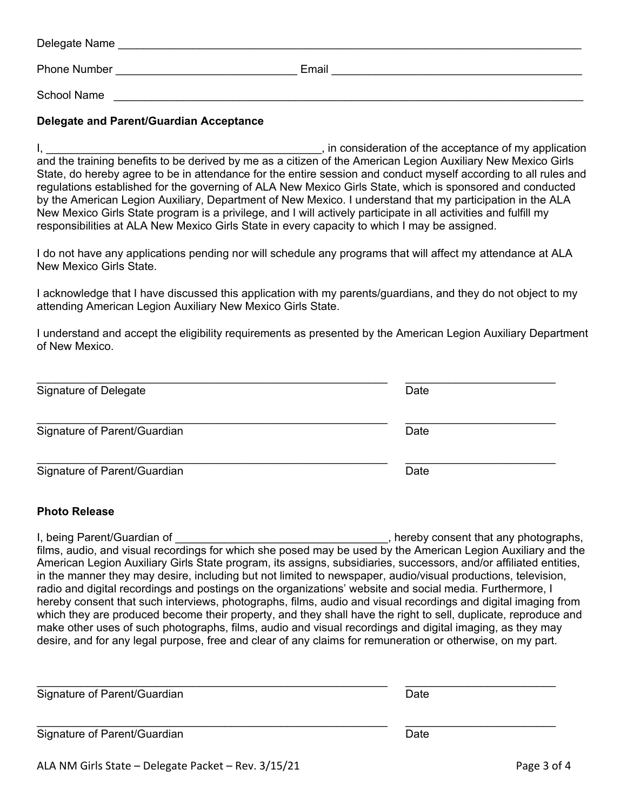| Delegate Name       |       |
|---------------------|-------|
| <b>Phone Number</b> | Email |
| School Name         |       |

### **Delegate and Parent/Guardian Acceptance**

I, the consideration of the acceptance of my application is expected. The interval of the acceptance of my application and the training benefits to be derived by me as a citizen of the American Legion Auxiliary New Mexico Girls State, do hereby agree to be in attendance for the entire session and conduct myself according to all rules and regulations established for the governing of ALA New Mexico Girls State, which is sponsored and conducted by the American Legion Auxiliary, Department of New Mexico. I understand that my participation in the ALA New Mexico Girls State program is a privilege, and I will actively participate in all activities and fulfill my responsibilities at ALA New Mexico Girls State in every capacity to which I may be assigned.

I do not have any applications pending nor will schedule any programs that will affect my attendance at ALA New Mexico Girls State.

I acknowledge that I have discussed this application with my parents/guardians, and they do not object to my attending American Legion Auxiliary New Mexico Girls State.

I understand and accept the eligibility requirements as presented by the American Legion Auxiliary Department of New Mexico.

| Signature of Delegate        | Date |
|------------------------------|------|
| Signature of Parent/Guardian | Date |
| Signature of Parent/Guardian | Date |

#### **Photo Release**

I, being Parent/Guardian of \_\_\_\_\_\_\_\_\_\_\_\_\_\_\_\_\_\_\_\_\_\_\_\_\_\_\_\_\_\_\_\_\_\_, hereby consent that any photographs, films, audio, and visual recordings for which she posed may be used by the American Legion Auxiliary and the American Legion Auxiliary Girls State program, its assigns, subsidiaries, successors, and/or affiliated entities, in the manner they may desire, including but not limited to newspaper, audio/visual productions, television, radio and digital recordings and postings on the organizations' website and social media. Furthermore, I hereby consent that such interviews, photographs, films, audio and visual recordings and digital imaging from which they are produced become their property, and they shall have the right to sell, duplicate, reproduce and make other uses of such photographs, films, audio and visual recordings and digital imaging, as they may desire, and for any legal purpose, free and clear of any claims for remuneration or otherwise, on my part.

| Signature of Parent/Guardian | Date |  |
|------------------------------|------|--|
| Signature of Parent/Guardian | Date |  |